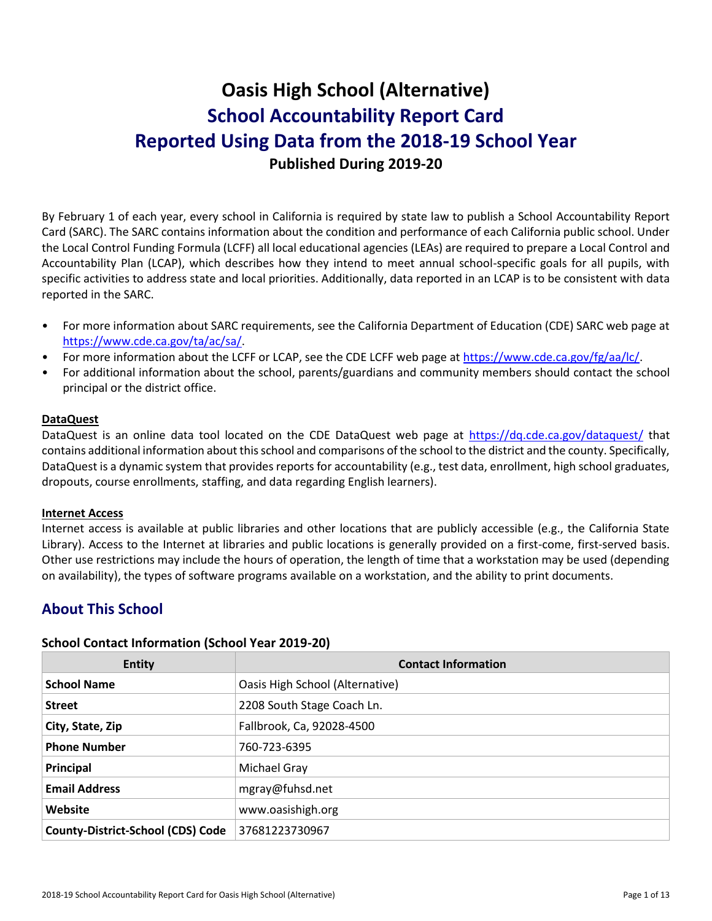# **Oasis High School (Alternative) School Accountability Report Card Reported Using Data from the 2018-19 School Year Published During 2019-20**

By February 1 of each year, every school in California is required by state law to publish a School Accountability Report Card (SARC). The SARC contains information about the condition and performance of each California public school. Under the Local Control Funding Formula (LCFF) all local educational agencies (LEAs) are required to prepare a Local Control and Accountability Plan (LCAP), which describes how they intend to meet annual school-specific goals for all pupils, with specific activities to address state and local priorities. Additionally, data reported in an LCAP is to be consistent with data reported in the SARC.

- For more information about SARC requirements, see the California Department of Education (CDE) SARC web page at [https://www.cde.ca.gov/ta/ac/sa/.](https://www.cde.ca.gov/ta/ac/sa/)
- For more information about the LCFF or LCAP, see the CDE LCFF web page at [https://www.cde.ca.gov/fg/aa/lc/.](https://www.cde.ca.gov/fg/aa/lc/)
- For additional information about the school, parents/guardians and community members should contact the school principal or the district office.

#### **DataQuest**

DataQuest is an online data tool located on the CDE DataQuest web page at<https://dq.cde.ca.gov/dataquest/> that contains additional information about this school and comparisons of the school to the district and the county. Specifically, DataQuest is a dynamic system that provides reports for accountability (e.g., test data, enrollment, high school graduates, dropouts, course enrollments, staffing, and data regarding English learners).

#### **Internet Access**

Internet access is available at public libraries and other locations that are publicly accessible (e.g., the California State Library). Access to the Internet at libraries and public locations is generally provided on a first-come, first-served basis. Other use restrictions may include the hours of operation, the length of time that a workstation may be used (depending on availability), the types of software programs available on a workstation, and the ability to print documents.

# **About This School**

#### **School Contact Information (School Year 2019-20)**

| <b>Entity</b>                            | <b>Contact Information</b>      |
|------------------------------------------|---------------------------------|
| <b>School Name</b>                       | Oasis High School (Alternative) |
| <b>Street</b>                            | 2208 South Stage Coach Ln.      |
| City, State, Zip                         | Fallbrook, Ca, 92028-4500       |
| <b>Phone Number</b>                      | 760-723-6395                    |
| Principal                                | Michael Gray                    |
| <b>Email Address</b>                     | mgray@fuhsd.net                 |
| Website                                  | www.oasishigh.org               |
| <b>County-District-School (CDS) Code</b> | 37681223730967                  |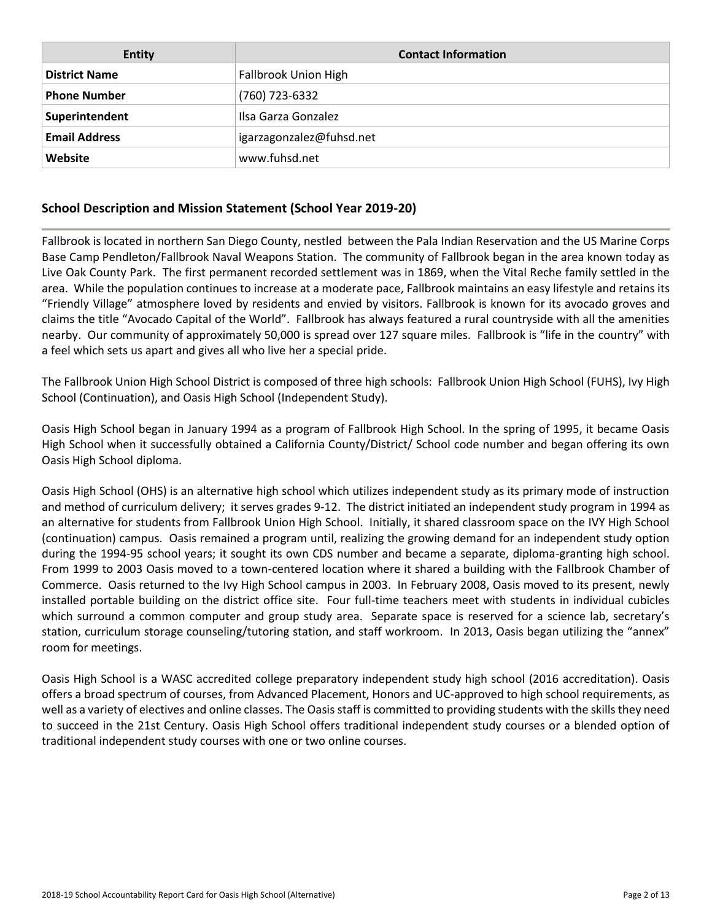| <b>Entity</b>        | <b>Contact Information</b> |
|----------------------|----------------------------|
| <b>District Name</b> | Fallbrook Union High       |
| <b>Phone Number</b>  | (760) 723-6332             |
| Superintendent       | Ilsa Garza Gonzalez        |
| <b>Email Address</b> | igarzagonzalez@fuhsd.net   |
| Website              | www.fuhsd.net              |

# **School Description and Mission Statement (School Year 2019-20)**

Fallbrook is located in northern San Diego County, nestled between the Pala Indian Reservation and the US Marine Corps Base Camp Pendleton/Fallbrook Naval Weapons Station. The community of Fallbrook began in the area known today as Live Oak County Park. The first permanent recorded settlement was in 1869, when the Vital Reche family settled in the area. While the population continues to increase at a moderate pace, Fallbrook maintains an easy lifestyle and retains its "Friendly Village" atmosphere loved by residents and envied by visitors. Fallbrook is known for its avocado groves and claims the title "Avocado Capital of the World". Fallbrook has always featured a rural countryside with all the amenities nearby. Our community of approximately 50,000 is spread over 127 square miles. Fallbrook is "life in the country" with a feel which sets us apart and gives all who live her a special pride.

The Fallbrook Union High School District is composed of three high schools: Fallbrook Union High School (FUHS), Ivy High School (Continuation), and Oasis High School (Independent Study).

Oasis High School began in January 1994 as a program of Fallbrook High School. In the spring of 1995, it became Oasis High School when it successfully obtained a California County/District/ School code number and began offering its own Oasis High School diploma.

Oasis High School (OHS) is an alternative high school which utilizes independent study as its primary mode of instruction and method of curriculum delivery; it serves grades 9-12. The district initiated an independent study program in 1994 as an alternative for students from Fallbrook Union High School. Initially, it shared classroom space on the IVY High School (continuation) campus. Oasis remained a program until, realizing the growing demand for an independent study option during the 1994-95 school years; it sought its own CDS number and became a separate, diploma-granting high school. From 1999 to 2003 Oasis moved to a town-centered location where it shared a building with the Fallbrook Chamber of Commerce. Oasis returned to the Ivy High School campus in 2003. In February 2008, Oasis moved to its present, newly installed portable building on the district office site. Four full-time teachers meet with students in individual cubicles which surround a common computer and group study area. Separate space is reserved for a science lab, secretary's station, curriculum storage counseling/tutoring station, and staff workroom. In 2013, Oasis began utilizing the "annex" room for meetings.

Oasis High School is a WASC accredited college preparatory independent study high school (2016 accreditation). Oasis offers a broad spectrum of courses, from Advanced Placement, Honors and UC-approved to high school requirements, as well as a variety of electives and online classes. The Oasis staff is committed to providing students with the skills they need to succeed in the 21st Century. Oasis High School offers traditional independent study courses or a blended option of traditional independent study courses with one or two online courses.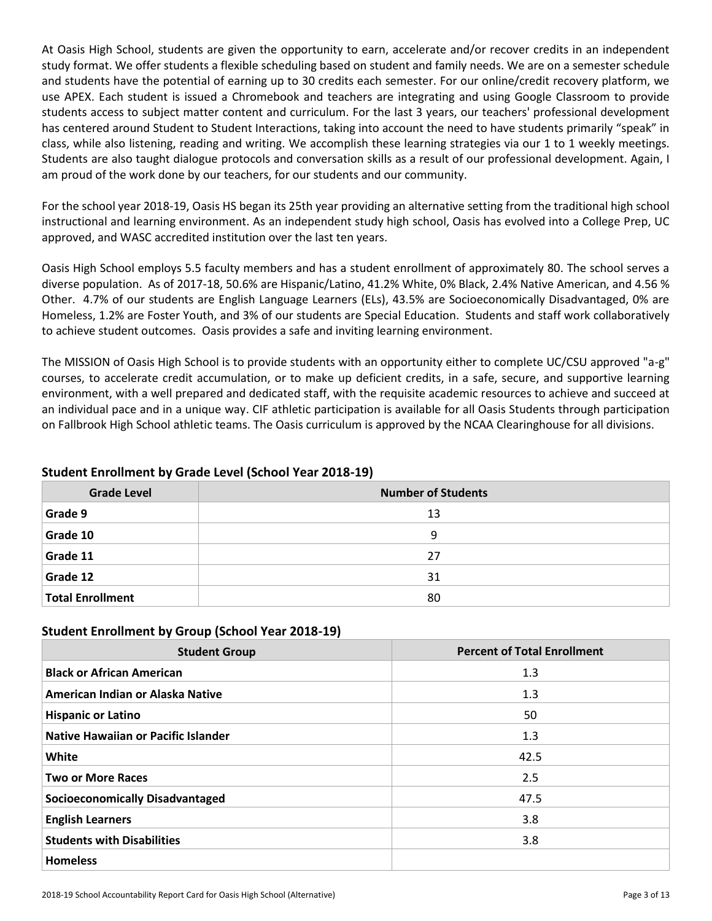At Oasis High School, students are given the opportunity to earn, accelerate and/or recover credits in an independent study format. We offer students a flexible scheduling based on student and family needs. We are on a semester schedule and students have the potential of earning up to 30 credits each semester. For our online/credit recovery platform, we use APEX. Each student is issued a Chromebook and teachers are integrating and using Google Classroom to provide students access to subject matter content and curriculum. For the last 3 years, our teachers' professional development has centered around Student to Student Interactions, taking into account the need to have students primarily "speak" in class, while also listening, reading and writing. We accomplish these learning strategies via our 1 to 1 weekly meetings. Students are also taught dialogue protocols and conversation skills as a result of our professional development. Again, I am proud of the work done by our teachers, for our students and our community.

For the school year 2018-19, Oasis HS began its 25th year providing an alternative setting from the traditional high school instructional and learning environment. As an independent study high school, Oasis has evolved into a College Prep, UC approved, and WASC accredited institution over the last ten years.

Oasis High School employs 5.5 faculty members and has a student enrollment of approximately 80. The school serves a diverse population. As of 2017-18, 50.6% are Hispanic/Latino, 41.2% White, 0% Black, 2.4% Native American, and 4.56 % Other. 4.7% of our students are English Language Learners (ELs), 43.5% are Socioeconomically Disadvantaged, 0% are Homeless, 1.2% are Foster Youth, and 3% of our students are Special Education. Students and staff work collaboratively to achieve student outcomes. Oasis provides a safe and inviting learning environment.

The MISSION of Oasis High School is to provide students with an opportunity either to complete UC/CSU approved "a-g" courses, to accelerate credit accumulation, or to make up deficient credits, in a safe, secure, and supportive learning environment, with a well prepared and dedicated staff, with the requisite academic resources to achieve and succeed at an individual pace and in a unique way. CIF athletic participation is available for all Oasis Students through participation on Fallbrook High School athletic teams. The Oasis curriculum is approved by the NCAA Clearinghouse for all divisions.

| <b>Grade Level</b>      | <b>Number of Students</b> |
|-------------------------|---------------------------|
| Grade 9                 | 13                        |
| Grade 10                | 9                         |
| Grade 11                | 27                        |
| Grade 12                | 31                        |
| <b>Total Enrollment</b> | 80                        |

# **Student Enrollment by Grade Level (School Year 2018-19)**

# **Student Enrollment by Group (School Year 2018-19)**

| <b>Student Group</b>                   | <b>Percent of Total Enrollment</b> |
|----------------------------------------|------------------------------------|
| <b>Black or African American</b>       | 1.3                                |
| American Indian or Alaska Native       | 1.3                                |
| <b>Hispanic or Latino</b>              | 50                                 |
| Native Hawaiian or Pacific Islander    | 1.3                                |
| White                                  | 42.5                               |
| <b>Two or More Races</b>               | 2.5                                |
| <b>Socioeconomically Disadvantaged</b> | 47.5                               |
| <b>English Learners</b>                | 3.8                                |
| <b>Students with Disabilities</b>      | 3.8                                |
| <b>Homeless</b>                        |                                    |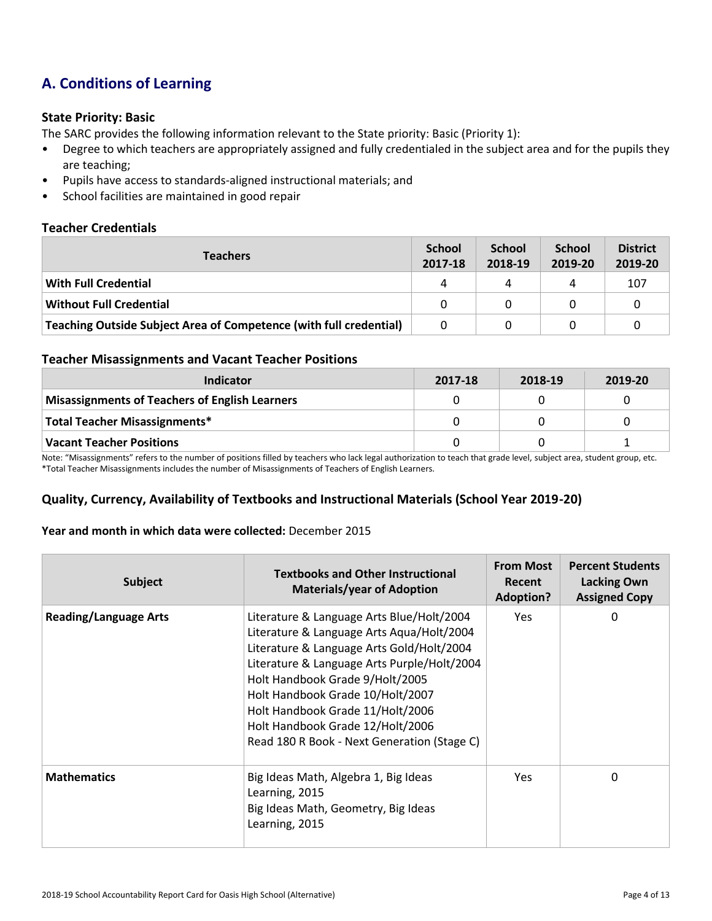# **A. Conditions of Learning**

#### **State Priority: Basic**

The SARC provides the following information relevant to the State priority: Basic (Priority 1):

- Degree to which teachers are appropriately assigned and fully credentialed in the subject area and for the pupils they are teaching;
- Pupils have access to standards-aligned instructional materials; and
- School facilities are maintained in good repair

#### **Teacher Credentials**

| <b>Teachers</b>                                                    |          | <b>School</b><br>2018-19 | <b>School</b><br>2019-20 | <b>District</b><br>2019-20 |
|--------------------------------------------------------------------|----------|--------------------------|--------------------------|----------------------------|
| With Full Credential                                               | Δ        | 4                        |                          | 107                        |
| <b>Without Full Credential</b>                                     | $\Omega$ | 0                        |                          |                            |
| Teaching Outside Subject Area of Competence (with full credential) | 0        |                          |                          |                            |

#### **Teacher Misassignments and Vacant Teacher Positions**

| Indicator                                             | 2017-18 | 2018-19 | 2019-20 |
|-------------------------------------------------------|---------|---------|---------|
| <b>Misassignments of Teachers of English Learners</b> |         |         |         |
| Total Teacher Misassignments*                         |         |         |         |
| <b>Vacant Teacher Positions</b>                       |         |         |         |

Note: "Misassignments" refers to the number of positions filled by teachers who lack legal authorization to teach that grade level, subject area, student group, etc. \*Total Teacher Misassignments includes the number of Misassignments of Teachers of English Learners.

# **Quality, Currency, Availability of Textbooks and Instructional Materials (School Year 2019-20)**

#### **Year and month in which data were collected:** December 2015

| <b>Subject</b>               | <b>Textbooks and Other Instructional</b><br><b>Materials/year of Adoption</b>                                                                                                                                                                                                                                                                                                    | <b>From Most</b><br>Recent<br><b>Adoption?</b> | <b>Percent Students</b><br><b>Lacking Own</b><br><b>Assigned Copy</b> |
|------------------------------|----------------------------------------------------------------------------------------------------------------------------------------------------------------------------------------------------------------------------------------------------------------------------------------------------------------------------------------------------------------------------------|------------------------------------------------|-----------------------------------------------------------------------|
| <b>Reading/Language Arts</b> | Literature & Language Arts Blue/Holt/2004<br>Literature & Language Arts Aqua/Holt/2004<br>Literature & Language Arts Gold/Holt/2004<br>Literature & Language Arts Purple/Holt/2004<br>Holt Handbook Grade 9/Holt/2005<br>Holt Handbook Grade 10/Holt/2007<br>Holt Handbook Grade 11/Holt/2006<br>Holt Handbook Grade 12/Holt/2006<br>Read 180 R Book - Next Generation (Stage C) | <b>Yes</b>                                     | 0                                                                     |
| <b>Mathematics</b>           | Big Ideas Math, Algebra 1, Big Ideas<br>Learning, 2015<br>Big Ideas Math, Geometry, Big Ideas<br>Learning, 2015                                                                                                                                                                                                                                                                  | Yes                                            | 0                                                                     |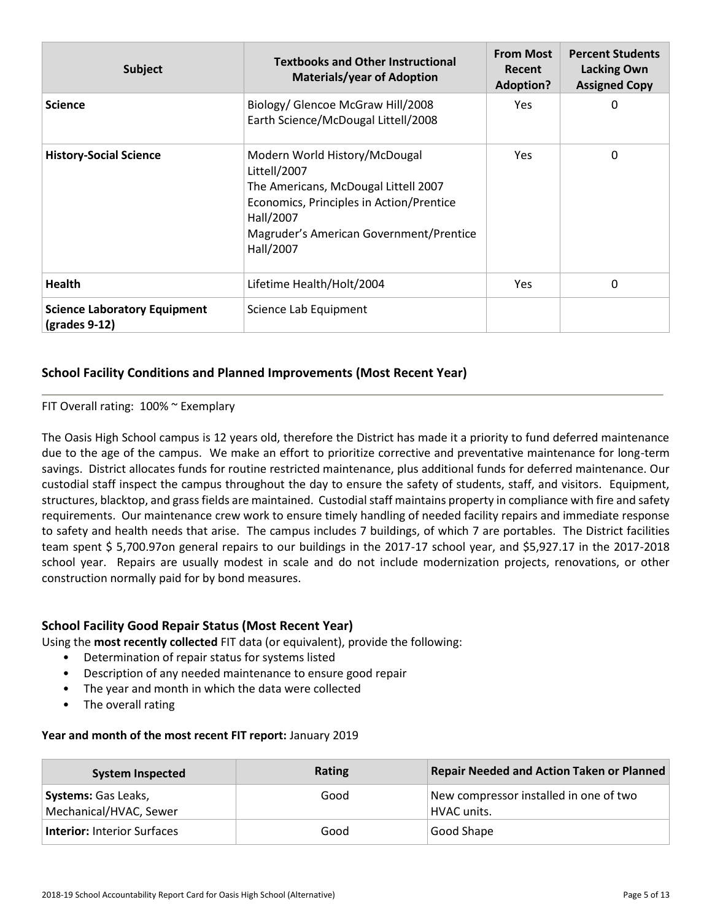| <b>Subject</b>                                         | <b>Textbooks and Other Instructional</b><br><b>Materials/year of Adoption</b>                                                                                                                          | <b>From Most</b><br><b>Recent</b><br><b>Adoption?</b> | <b>Percent Students</b><br><b>Lacking Own</b><br><b>Assigned Copy</b> |
|--------------------------------------------------------|--------------------------------------------------------------------------------------------------------------------------------------------------------------------------------------------------------|-------------------------------------------------------|-----------------------------------------------------------------------|
| <b>Science</b>                                         | Biology/ Glencoe McGraw Hill/2008<br>Earth Science/McDougal Littell/2008                                                                                                                               | Yes                                                   | 0                                                                     |
| <b>History-Social Science</b>                          | Modern World History/McDougal<br>Littell/2007<br>The Americans, McDougal Littell 2007<br>Economics, Principles in Action/Prentice<br>Hall/2007<br>Magruder's American Government/Prentice<br>Hall/2007 | Yes                                                   | 0                                                                     |
| <b>Health</b>                                          | Lifetime Health/Holt/2004                                                                                                                                                                              | Yes.                                                  | 0                                                                     |
| <b>Science Laboratory Equipment</b><br>$(grades 9-12)$ | Science Lab Equipment                                                                                                                                                                                  |                                                       |                                                                       |

# **School Facility Conditions and Planned Improvements (Most Recent Year)**

#### FIT Overall rating: 100% ~ Exemplary

The Oasis High School campus is 12 years old, therefore the District has made it a priority to fund deferred maintenance due to the age of the campus. We make an effort to prioritize corrective and preventative maintenance for long-term savings. District allocates funds for routine restricted maintenance, plus additional funds for deferred maintenance. Our custodial staff inspect the campus throughout the day to ensure the safety of students, staff, and visitors. Equipment, structures, blacktop, and grass fields are maintained. Custodial staff maintains property in compliance with fire and safety requirements. Our maintenance crew work to ensure timely handling of needed facility repairs and immediate response to safety and health needs that arise. The campus includes 7 buildings, of which 7 are portables. The District facilities team spent \$ 5,700.97on general repairs to our buildings in the 2017-17 school year, and \$5,927.17 in the 2017-2018 school year. Repairs are usually modest in scale and do not include modernization projects, renovations, or other construction normally paid for by bond measures.

#### **School Facility Good Repair Status (Most Recent Year)**

Using the **most recently collected** FIT data (or equivalent), provide the following:

- Determination of repair status for systems listed
- Description of any needed maintenance to ensure good repair
- The year and month in which the data were collected
- The overall rating

#### **Year and month of the most recent FIT report:** January 2019

| <b>System Inspected</b>                              | Rating | Repair Needed and Action Taken or Planned             |
|------------------------------------------------------|--------|-------------------------------------------------------|
| <b>Systems: Gas Leaks,</b><br>Mechanical/HVAC, Sewer | Good   | New compressor installed in one of two<br>HVAC units. |
| <b>Interior: Interior Surfaces</b>                   | Good   | Good Shape                                            |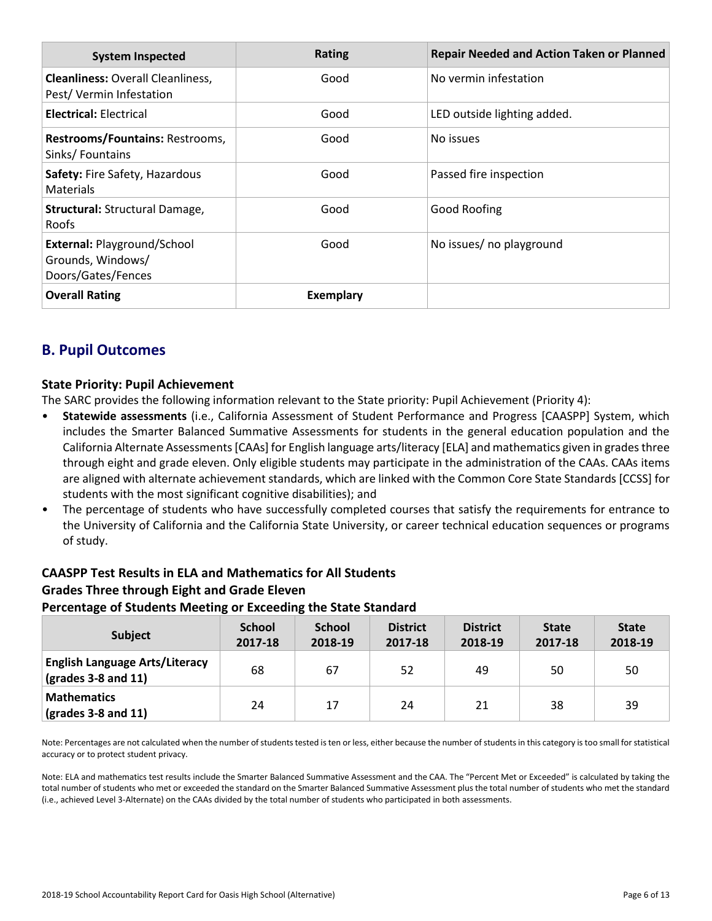| <b>System Inspected</b>                                                | <b>Rating</b>    | <b>Repair Needed and Action Taken or Planned</b> |
|------------------------------------------------------------------------|------------------|--------------------------------------------------|
| <b>Cleanliness: Overall Cleanliness,</b><br>Pest/Vermin Infestation    | Good             | No vermin infestation                            |
| <b>Electrical: Electrical</b>                                          | Good             | LED outside lighting added.                      |
| Restrooms/Fountains: Restrooms,<br>Sinks/Fountains                     | Good             | No issues                                        |
| Safety: Fire Safety, Hazardous<br><b>Materials</b>                     | Good             | Passed fire inspection                           |
| <b>Structural: Structural Damage,</b><br>Roofs                         | Good             | Good Roofing                                     |
| External: Playground/School<br>Grounds, Windows/<br>Doors/Gates/Fences | Good             | No issues/ no playground                         |
| <b>Overall Rating</b>                                                  | <b>Exemplary</b> |                                                  |

# **B. Pupil Outcomes**

# **State Priority: Pupil Achievement**

The SARC provides the following information relevant to the State priority: Pupil Achievement (Priority 4):

- **Statewide assessments** (i.e., California Assessment of Student Performance and Progress [CAASPP] System, which includes the Smarter Balanced Summative Assessments for students in the general education population and the California Alternate Assessments [CAAs] for English language arts/literacy [ELA] and mathematics given in grades three through eight and grade eleven. Only eligible students may participate in the administration of the CAAs. CAAs items are aligned with alternate achievement standards, which are linked with the Common Core State Standards [CCSS] for students with the most significant cognitive disabilities); and
- The percentage of students who have successfully completed courses that satisfy the requirements for entrance to the University of California and the California State University, or career technical education sequences or programs of study.

# **CAASPP Test Results in ELA and Mathematics for All Students Grades Three through Eight and Grade Eleven Percentage of Students Meeting or Exceeding the State Standard**

| <b>Subject</b>                                                                | <b>School</b><br>2017-18 | <b>School</b><br>2018-19 | <b>District</b><br>2017-18 | <b>District</b><br>2018-19 | <b>State</b><br>2017-18 | <b>State</b><br>2018-19 |
|-------------------------------------------------------------------------------|--------------------------|--------------------------|----------------------------|----------------------------|-------------------------|-------------------------|
| <b>English Language Arts/Literacy</b><br>$\left($ grades 3-8 and 11 $\right)$ | 68                       | 67                       | 52                         | 49                         | 50                      | 50                      |
| <b>Mathematics</b><br>$\vert$ (grades 3-8 and 11)                             | 24                       | 17                       | 24                         | 21                         | 38                      | 39                      |

Note: Percentages are not calculated when the number of students tested is ten or less, either because the number of students in this category is too small for statistical accuracy or to protect student privacy.

Note: ELA and mathematics test results include the Smarter Balanced Summative Assessment and the CAA. The "Percent Met or Exceeded" is calculated by taking the total number of students who met or exceeded the standard on the Smarter Balanced Summative Assessment plus the total number of students who met the standard (i.e., achieved Level 3-Alternate) on the CAAs divided by the total number of students who participated in both assessments.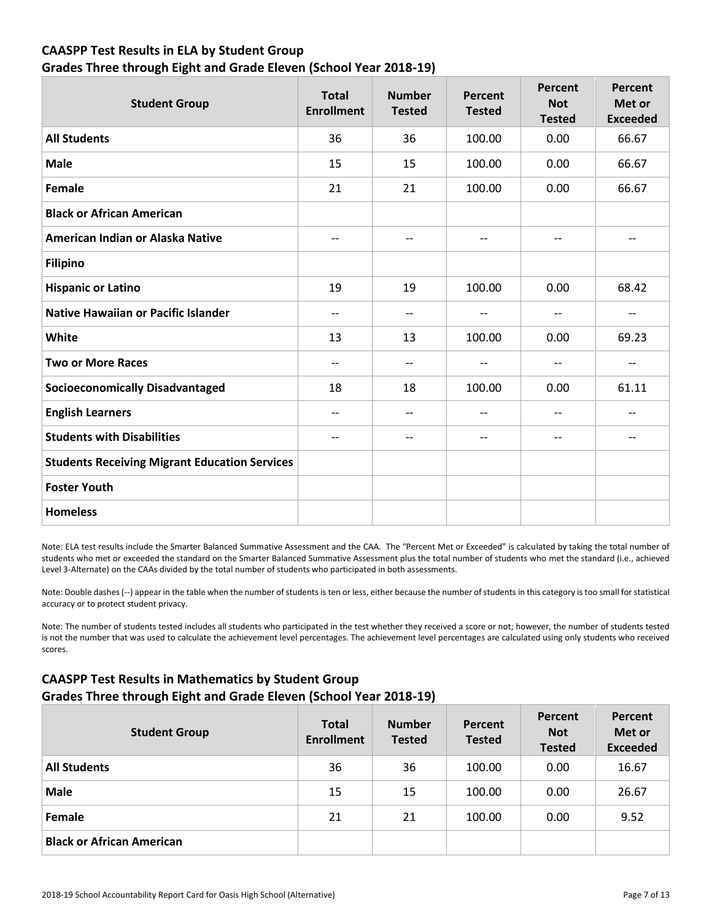# **CAASPP Test Results in ELA by Student Group Grades Three through Eight and Grade Eleven (School Year 2018-19)**

| <b>Student Group</b>                                 | <b>Total</b><br><b>Enrollment</b> | <b>Number</b><br><b>Tested</b> | Percent<br><b>Tested</b> | <b>Percent</b><br><b>Not</b><br><b>Tested</b> | <b>Percent</b><br>Met or<br><b>Exceeded</b> |
|------------------------------------------------------|-----------------------------------|--------------------------------|--------------------------|-----------------------------------------------|---------------------------------------------|
| <b>All Students</b>                                  | 36                                | 36                             | 100.00                   | 0.00                                          | 66.67                                       |
| <b>Male</b>                                          | 15                                | 15                             | 100.00                   | 0.00                                          | 66.67                                       |
| <b>Female</b>                                        | 21                                | 21                             | 100.00                   | 0.00                                          | 66.67                                       |
| <b>Black or African American</b>                     |                                   |                                |                          |                                               |                                             |
| American Indian or Alaska Native                     | $-$                               | $\qquad \qquad -$              | $\overline{\phantom{a}}$ | $\qquad \qquad -$                             | --                                          |
| <b>Filipino</b>                                      |                                   |                                |                          |                                               |                                             |
| <b>Hispanic or Latino</b>                            | 19                                | 19                             | 100.00                   | 0.00                                          | 68.42                                       |
| <b>Native Hawaiian or Pacific Islander</b>           | $-$                               | $-$                            | $\overline{\phantom{a}}$ | $\qquad \qquad -$                             | --                                          |
| White                                                | 13                                | 13                             | 100.00                   | 0.00                                          | 69.23                                       |
| <b>Two or More Races</b>                             | $-$                               | $-$                            | $\overline{\phantom{a}}$ | $-$                                           | --                                          |
| <b>Socioeconomically Disadvantaged</b>               | 18                                | 18                             | 100.00                   | 0.00                                          | 61.11                                       |
| <b>English Learners</b>                              | $-$                               | $-$                            | $- -$                    | $-$                                           | $- -$                                       |
| <b>Students with Disabilities</b>                    | $-$                               | $-$                            | $\qquad \qquad -$        | --                                            | --                                          |
| <b>Students Receiving Migrant Education Services</b> |                                   |                                |                          |                                               |                                             |
| <b>Foster Youth</b>                                  |                                   |                                |                          |                                               |                                             |
| <b>Homeless</b>                                      |                                   |                                |                          |                                               |                                             |

Note: ELA test results include the Smarter Balanced Summative Assessment and the CAA. The "Percent Met or Exceeded" is calculated by taking the total number of students who met or exceeded the standard on the Smarter Balanced Summative Assessment plus the total number of students who met the standard (i.e., achieved Level 3-Alternate) on the CAAs divided by the total number of students who participated in both assessments.

Note: Double dashes (--) appear in the table when the number of students is ten or less, either because the number of students in this category is too small for statistical accuracy or to protect student privacy.

Note: The number of students tested includes all students who participated in the test whether they received a score or not; however, the number of students tested is not the number that was used to calculate the achievement level percentages. The achievement level percentages are calculated using only students who received scores.

# **CAASPP Test Results in Mathematics by Student Group Grades Three through Eight and Grade Eleven (School Year 2018-19)**

| <b>Student Group</b>             | <b>Total</b><br><b>Enrollment</b> | <b>Number</b><br><b>Tested</b> | Percent<br><b>Tested</b> | Percent<br><b>Not</b><br><b>Tested</b> | Percent<br>Met or<br><b>Exceeded</b> |
|----------------------------------|-----------------------------------|--------------------------------|--------------------------|----------------------------------------|--------------------------------------|
| <b>All Students</b>              | 36                                | 36                             | 100.00                   | 0.00                                   | 16.67                                |
| <b>Male</b>                      | 15                                | 15                             | 100.00                   | 0.00                                   | 26.67                                |
| Female                           | 21                                | 21                             | 100.00                   | 0.00                                   | 9.52                                 |
| <b>Black or African American</b> |                                   |                                |                          |                                        |                                      |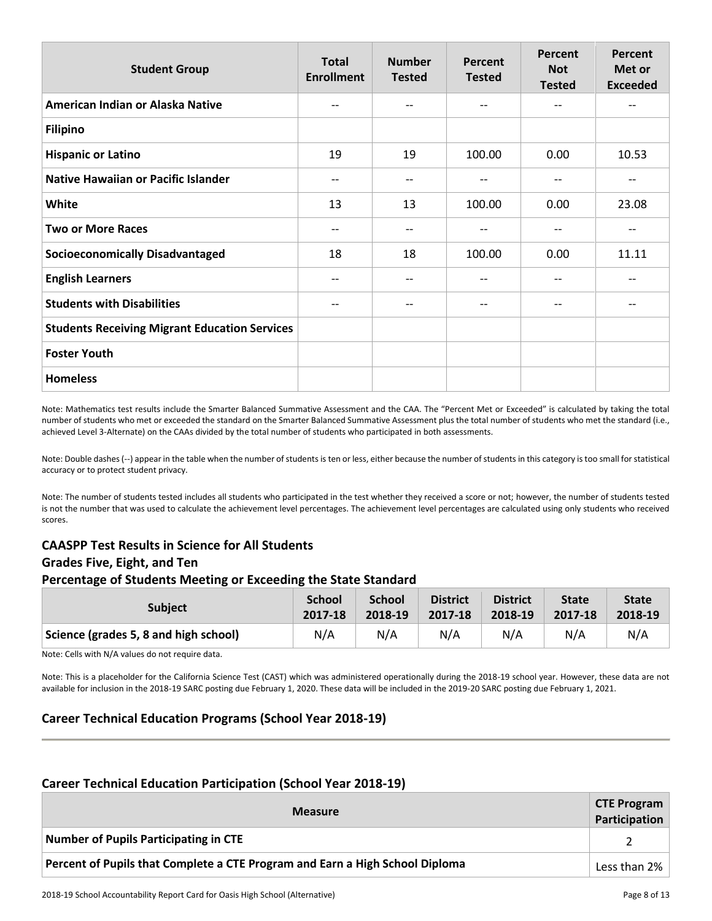| <b>Student Group</b>                                 | <b>Total</b><br><b>Enrollment</b> | <b>Number</b><br><b>Tested</b> | Percent<br><b>Tested</b> | Percent<br><b>Not</b><br><b>Tested</b> | Percent<br>Met or<br><b>Exceeded</b> |
|------------------------------------------------------|-----------------------------------|--------------------------------|--------------------------|----------------------------------------|--------------------------------------|
| American Indian or Alaska Native                     | $-$                               | $- -$                          | $\qquad \qquad -$        | $-$                                    | $- -$                                |
| <b>Filipino</b>                                      |                                   |                                |                          |                                        |                                      |
| <b>Hispanic or Latino</b>                            | 19                                | 19                             | 100.00                   | 0.00                                   | 10.53                                |
| <b>Native Hawaiian or Pacific Islander</b>           | --                                | --                             | --                       | $-\!$ $\!-$                            | --                                   |
| White                                                | 13                                | 13                             | 100.00                   | 0.00                                   | 23.08                                |
| <b>Two or More Races</b>                             | --                                | --                             | --                       | $-$                                    | $- -$                                |
| <b>Socioeconomically Disadvantaged</b>               | 18                                | 18                             | 100.00                   | 0.00                                   | 11.11                                |
| <b>English Learners</b>                              | --                                | --                             | --                       | --                                     | --                                   |
| <b>Students with Disabilities</b>                    | $- -$                             | $- -$                          | $\qquad \qquad -$        | $-\!$ $\!-$                            | --                                   |
| <b>Students Receiving Migrant Education Services</b> |                                   |                                |                          |                                        |                                      |
| <b>Foster Youth</b>                                  |                                   |                                |                          |                                        |                                      |
| <b>Homeless</b>                                      |                                   |                                |                          |                                        |                                      |

Note: Mathematics test results include the Smarter Balanced Summative Assessment and the CAA. The "Percent Met or Exceeded" is calculated by taking the total number of students who met or exceeded the standard on the Smarter Balanced Summative Assessment plus the total number of students who met the standard (i.e., achieved Level 3-Alternate) on the CAAs divided by the total number of students who participated in both assessments.

Note: Double dashes (--) appear in the table when the number of students is ten or less, either because the number of students in this category is too small for statistical accuracy or to protect student privacy.

Note: The number of students tested includes all students who participated in the test whether they received a score or not; however, the number of students tested is not the number that was used to calculate the achievement level percentages. The achievement level percentages are calculated using only students who received scores.

# **CAASPP Test Results in Science for All Students Grades Five, Eight, and Ten Percentage of Students Meeting or Exceeding the State Standard**

| <b>Subject</b>                        | <b>School</b> | <b>School</b> | <b>District</b> | <b>District</b> | <b>State</b> | <b>State</b> |
|---------------------------------------|---------------|---------------|-----------------|-----------------|--------------|--------------|
|                                       | 2017-18       | 2018-19       | 2017-18         | 2018-19         | 2017-18      | 2018-19      |
| Science (grades 5, 8 and high school) | N/A           | N/A           | N/A             | N/A             | N/A          | N/A          |

Note: Cells with N/A values do not require data.

Note: This is a placeholder for the California Science Test (CAST) which was administered operationally during the 2018-19 school year. However, these data are not available for inclusion in the 2018-19 SARC posting due February 1, 2020. These data will be included in the 2019-20 SARC posting due February 1, 2021.

# **Career Technical Education Programs (School Year 2018-19)**

#### **Career Technical Education Participation (School Year 2018-19)**

| <b>CTE Program</b><br><b>Measure</b>                                         |  |  |  |  |  |
|------------------------------------------------------------------------------|--|--|--|--|--|
| Number of Pupils Participating in CTE                                        |  |  |  |  |  |
| Percent of Pupils that Complete a CTE Program and Earn a High School Diploma |  |  |  |  |  |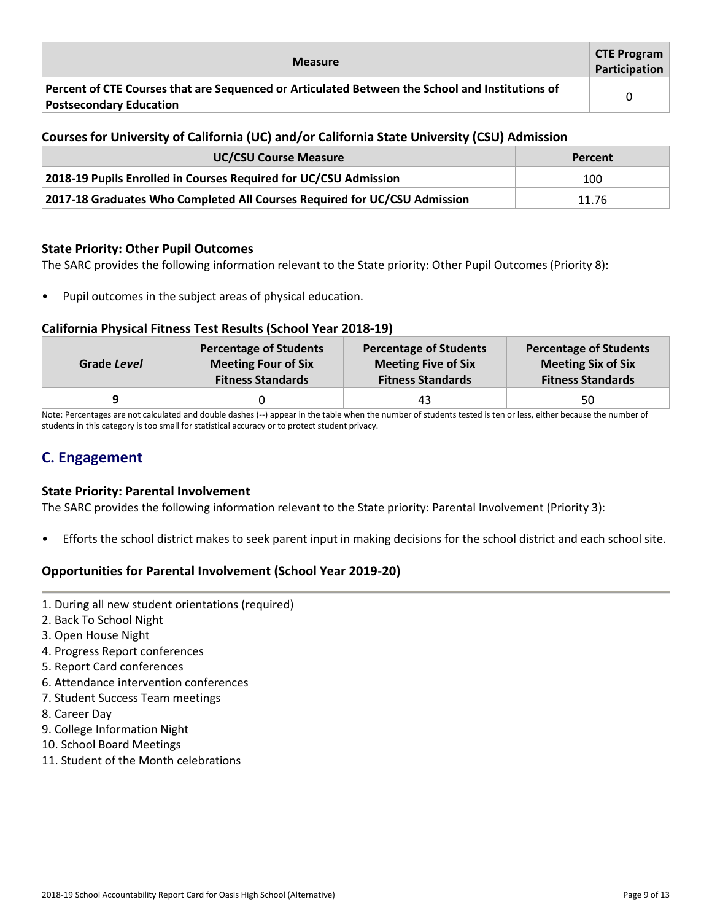| <b>Measure</b>                                                                                                                    | <b>CTE Program</b><br>Participation |
|-----------------------------------------------------------------------------------------------------------------------------------|-------------------------------------|
| Percent of CTE Courses that are Sequenced or Articulated Between the School and Institutions of<br><b>Postsecondary Education</b> |                                     |

# **Courses for University of California (UC) and/or California State University (CSU) Admission**

| <b>UC/CSU Course Measure</b>                                              | Percent |
|---------------------------------------------------------------------------|---------|
| 2018-19 Pupils Enrolled in Courses Required for UC/CSU Admission          | 100     |
| 2017-18 Graduates Who Completed All Courses Required for UC/CSU Admission | 11.76   |

#### **State Priority: Other Pupil Outcomes**

The SARC provides the following information relevant to the State priority: Other Pupil Outcomes (Priority 8):

• Pupil outcomes in the subject areas of physical education.

#### **California Physical Fitness Test Results (School Year 2018-19)**

| Grade Level | <b>Percentage of Students</b> | <b>Percentage of Students</b> | <b>Percentage of Students</b> |
|-------------|-------------------------------|-------------------------------|-------------------------------|
|             | <b>Meeting Four of Six</b>    | <b>Meeting Five of Six</b>    | <b>Meeting Six of Six</b>     |
|             | <b>Fitness Standards</b>      | <b>Fitness Standards</b>      | <b>Fitness Standards</b>      |
|             |                               | 43                            | 50                            |

Note: Percentages are not calculated and double dashes (--) appear in the table when the number of students tested is ten or less, either because the number of students in this category is too small for statistical accuracy or to protect student privacy.

# **C. Engagement**

#### **State Priority: Parental Involvement**

The SARC provides the following information relevant to the State priority: Parental Involvement (Priority 3):

• Efforts the school district makes to seek parent input in making decisions for the school district and each school site.

# **Opportunities for Parental Involvement (School Year 2019-20)**

- 1. During all new student orientations (required)
- 2. Back To School Night
- 3. Open House Night
- 4. Progress Report conferences
- 5. Report Card conferences
- 6. Attendance intervention conferences
- 7. Student Success Team meetings
- 8. Career Day
- 9. College Information Night
- 10. School Board Meetings
- 11. Student of the Month celebrations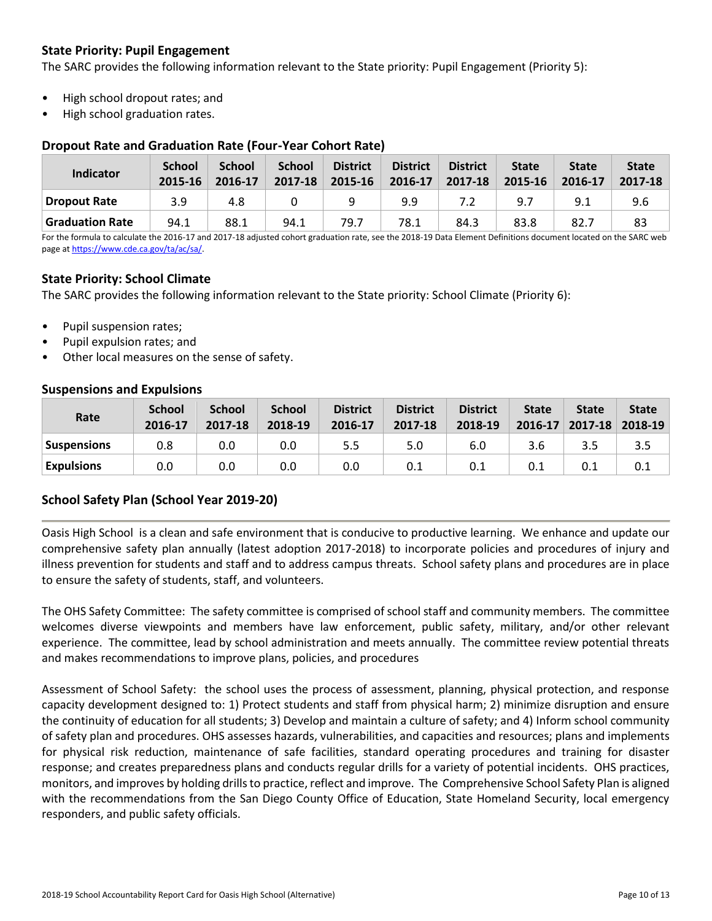# **State Priority: Pupil Engagement**

The SARC provides the following information relevant to the State priority: Pupil Engagement (Priority 5):

- High school dropout rates; and
- High school graduation rates.

#### **Dropout Rate and Graduation Rate (Four-Year Cohort Rate)**

| Indicator              | <b>School</b><br>2015-16 | <b>School</b><br>2016-17 | <b>School</b><br>2017-18 | <b>District</b><br>2015-16 | <b>District</b><br>2016-17 | <b>District</b><br>2017-18 | <b>State</b><br>2015-16 | <b>State</b><br>2016-17 | <b>State</b><br>2017-18 |
|------------------------|--------------------------|--------------------------|--------------------------|----------------------------|----------------------------|----------------------------|-------------------------|-------------------------|-------------------------|
| <b>Dropout Rate</b>    | 3.9                      | 4.8                      |                          |                            | 9.9                        |                            | 9.7                     | 9.1                     | 9.6                     |
| <b>Graduation Rate</b> | 94.1                     | 88.1                     | 94.1                     | 79.7                       | 78.1                       | 84.3                       | 83.8                    | 82.7                    | 83                      |

For the formula to calculate the 2016-17 and 2017-18 adjusted cohort graduation rate, see the 2018-19 Data Element Definitions document located on the SARC web page a[t https://www.cde.ca.gov/ta/ac/sa/.](https://www.cde.ca.gov/ta/ac/sa/)

# **State Priority: School Climate**

The SARC provides the following information relevant to the State priority: School Climate (Priority 6):

- Pupil suspension rates;
- Pupil expulsion rates; and
- Other local measures on the sense of safety.

#### **Suspensions and Expulsions**

| Rate              | <b>School</b><br>2016-17 | <b>School</b><br>2017-18 | <b>School</b><br>2018-19 | <b>District</b><br>2016-17 | <b>District</b><br>2017-18 | <b>District</b><br>2018-19 | <b>State</b><br>2016-17 | <b>State</b><br>$2017 - 18$ | <b>State</b><br>2018-19 |
|-------------------|--------------------------|--------------------------|--------------------------|----------------------------|----------------------------|----------------------------|-------------------------|-----------------------------|-------------------------|
| Suspensions       | 0.8                      | 0.0                      | 0.0                      | 5.5                        | 5.0                        | 6.0                        | 3.6                     | 3.5                         | 3.5                     |
| <b>Expulsions</b> | 0.0                      | 0.0                      | 0.0                      | 0.0                        | 0.1                        | 0.1                        | 0.1                     | 0.1                         |                         |

# **School Safety Plan (School Year 2019-20)**

Oasis High School is a clean and safe environment that is conducive to productive learning. We enhance and update our comprehensive safety plan annually (latest adoption 2017-2018) to incorporate policies and procedures of injury and illness prevention for students and staff and to address campus threats. School safety plans and procedures are in place to ensure the safety of students, staff, and volunteers.

The OHS Safety Committee: The safety committee is comprised of school staff and community members. The committee welcomes diverse viewpoints and members have law enforcement, public safety, military, and/or other relevant experience. The committee, lead by school administration and meets annually. The committee review potential threats and makes recommendations to improve plans, policies, and procedures

Assessment of School Safety: the school uses the process of assessment, planning, physical protection, and response capacity development designed to: 1) Protect students and staff from physical harm; 2) minimize disruption and ensure the continuity of education for all students; 3) Develop and maintain a culture of safety; and 4) Inform school community of safety plan and procedures. OHS assesses hazards, vulnerabilities, and capacities and resources; plans and implements for physical risk reduction, maintenance of safe facilities, standard operating procedures and training for disaster response; and creates preparedness plans and conducts regular drills for a variety of potential incidents. OHS practices, monitors, and improves by holding drills to practice, reflect and improve. The Comprehensive School Safety Plan is aligned with the recommendations from the San Diego County Office of Education, State Homeland Security, local emergency responders, and public safety officials.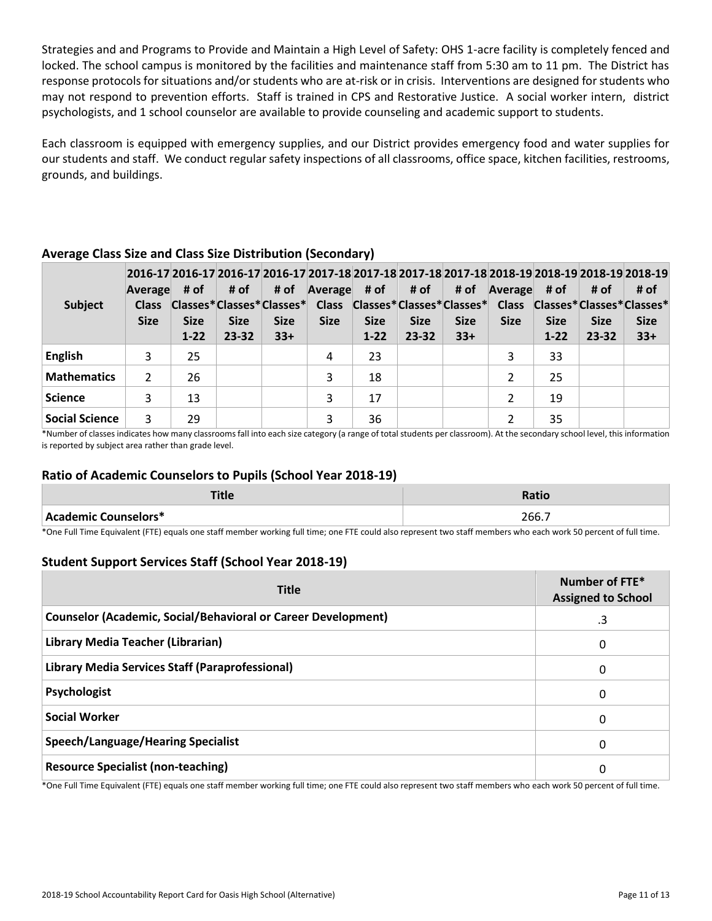Strategies and and Programs to Provide and Maintain a High Level of Safety: OHS 1-acre facility is completely fenced and locked. The school campus is monitored by the facilities and maintenance staff from 5:30 am to 11 pm. The District has response protocols for situations and/or students who are at-risk or in crisis. Interventions are designed for students who may not respond to prevention efforts. Staff is trained in CPS and Restorative Justice. A social worker intern, district psychologists, and 1 school counselor are available to provide counseling and academic support to students.

Each classroom is equipped with emergency supplies, and our District provides emergency food and water supplies for our students and staff. We conduct regular safety inspections of all classrooms, office space, kitchen facilities, restrooms, grounds, and buildings.

| <b>Subject</b>     | Average<br><b>Class</b><br><b>Size</b> | # of<br><b>Size</b><br>$1 - 22$ | # of<br><b>Size</b><br>$23 - 32$ | # of<br><b>Size</b><br>$33+$ | $\sqrt{A}$ verage # of # of<br><b>Size</b> | <b>Size</b><br>$1 - 22$ | <b>Size</b><br>$23 - 32$ | # of<br><b>Size</b><br>$33+$ | Average<br><b>Size</b> | # of<br><b>Size</b><br>$1 - 22$ | # of<br><b>Size</b><br>$23 - 32$ | 2016-17 2016-17 2016-17 2016-17 2017-18 2017-18 2017-18 2017-18 2018-19 2018-19 2018-19 2018-19 2018-19<br># of<br>Classes*Classes*Classes* Class Classes*Classes*Classes* Class Classes*Classes*Classes*<br><b>Size</b><br>$33+$ |
|--------------------|----------------------------------------|---------------------------------|----------------------------------|------------------------------|--------------------------------------------|-------------------------|--------------------------|------------------------------|------------------------|---------------------------------|----------------------------------|-----------------------------------------------------------------------------------------------------------------------------------------------------------------------------------------------------------------------------------|
| <b>English</b>     | 3                                      | 25                              |                                  |                              | 4                                          | 23                      |                          |                              |                        | 33                              |                                  |                                                                                                                                                                                                                                   |
| <b>Mathematics</b> | 2                                      | 26                              |                                  |                              | 3                                          | 18                      |                          |                              |                        | 25                              |                                  |                                                                                                                                                                                                                                   |
| <b>Science</b>     | 3                                      | 13                              |                                  |                              | 3                                          | 17                      |                          |                              |                        | 19                              |                                  |                                                                                                                                                                                                                                   |
| Social Science     | 3                                      | 29                              |                                  |                              | 3                                          | 36                      |                          |                              | 2                      | 35                              |                                  |                                                                                                                                                                                                                                   |

# **Average Class Size and Class Size Distribution (Secondary)**

\*Number of classes indicates how many classrooms fall into each size category (a range of total students per classroom). At the secondary school level, this information is reported by subject area rather than grade level.

#### **Ratio of Academic Counselors to Pupils (School Year 2018-19)**

| 三田人<br>ше            | <b>Ratio</b> |
|----------------------|--------------|
| Academic Counselors* | 266.7        |

\*One Full Time Equivalent (FTE) equals one staff member working full time; one FTE could also represent two staff members who each work 50 percent of full time.

#### **Student Support Services Staff (School Year 2018-19)**

| <b>Title</b>                                                         | Number of FTE*<br><b>Assigned to School</b> |  |  |  |
|----------------------------------------------------------------------|---------------------------------------------|--|--|--|
| <b>Counselor (Academic, Social/Behavioral or Career Development)</b> | .3                                          |  |  |  |
| Library Media Teacher (Librarian)                                    | 0                                           |  |  |  |
| Library Media Services Staff (Paraprofessional)                      | 0                                           |  |  |  |
| Psychologist                                                         | 0                                           |  |  |  |
| <b>Social Worker</b>                                                 | 0                                           |  |  |  |
| Speech/Language/Hearing Specialist                                   | 0                                           |  |  |  |
| <b>Resource Specialist (non-teaching)</b>                            | 0                                           |  |  |  |

\*One Full Time Equivalent (FTE) equals one staff member working full time; one FTE could also represent two staff members who each work 50 percent of full time.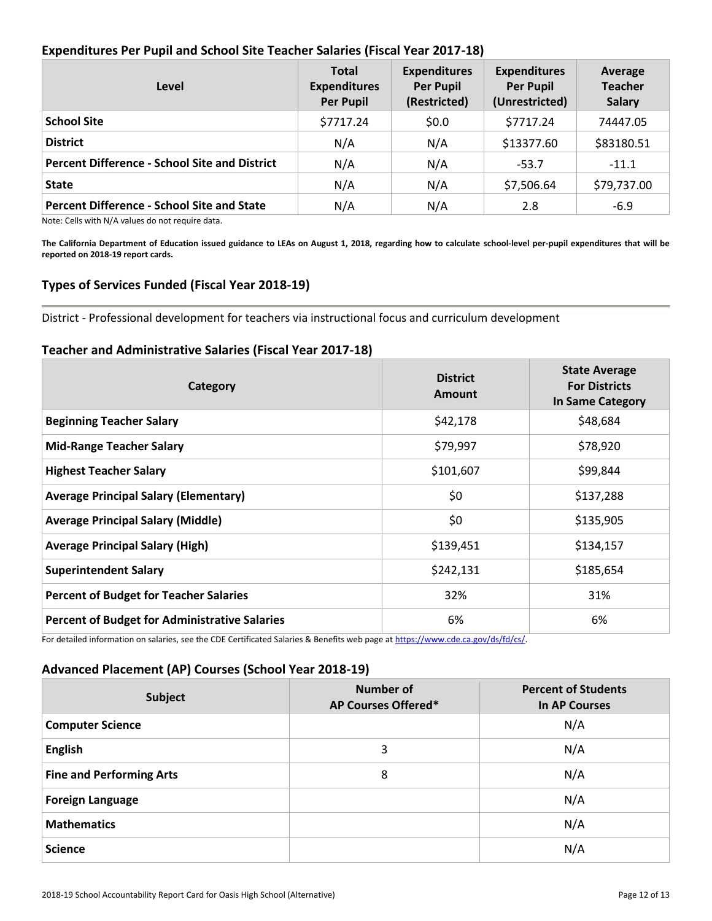# **Expenditures Per Pupil and School Site Teacher Salaries (Fiscal Year 2017-18)**

| Level                                                | <b>Total</b><br><b>Expenditures</b><br><b>Per Pupil</b> | <b>Expenditures</b><br><b>Per Pupil</b><br>(Restricted) | <b>Expenditures</b><br><b>Per Pupil</b><br>(Unrestricted) | Average<br><b>Teacher</b><br><b>Salary</b> |
|------------------------------------------------------|---------------------------------------------------------|---------------------------------------------------------|-----------------------------------------------------------|--------------------------------------------|
| <b>School Site</b>                                   | \$7717.24                                               | \$0.0                                                   | \$7717.24                                                 | 74447.05                                   |
| <b>District</b>                                      | N/A                                                     | N/A                                                     | \$13377.60                                                | \$83180.51                                 |
| <b>Percent Difference - School Site and District</b> | N/A                                                     | N/A                                                     | $-53.7$                                                   | $-11.1$                                    |
| <b>State</b>                                         | N/A                                                     | N/A                                                     | \$7,506.64                                                | \$79,737.00                                |
| <b>Percent Difference - School Site and State</b>    | N/A                                                     | N/A                                                     | 2.8                                                       | $-6.9$                                     |

Note: Cells with N/A values do not require data.

**The California Department of Education issued guidance to LEAs on August 1, 2018, regarding how to calculate school-level per-pupil expenditures that will be reported on 2018-19 report cards.**

# **Types of Services Funded (Fiscal Year 2018-19)**

District - Professional development for teachers via instructional focus and curriculum development

#### **Teacher and Administrative Salaries (Fiscal Year 2017-18)**

| Category                                             | <b>District</b><br>Amount | <b>State Average</b><br><b>For Districts</b><br>In Same Category |
|------------------------------------------------------|---------------------------|------------------------------------------------------------------|
| <b>Beginning Teacher Salary</b>                      | \$42,178                  | \$48,684                                                         |
| <b>Mid-Range Teacher Salary</b>                      | \$79,997                  | \$78,920                                                         |
| <b>Highest Teacher Salary</b>                        | \$101,607                 | \$99,844                                                         |
| <b>Average Principal Salary (Elementary)</b>         | \$0                       | \$137,288                                                        |
| <b>Average Principal Salary (Middle)</b>             | \$0                       | \$135,905                                                        |
| <b>Average Principal Salary (High)</b>               | \$139,451                 | \$134,157                                                        |
| <b>Superintendent Salary</b>                         | \$242,131                 | \$185,654                                                        |
| <b>Percent of Budget for Teacher Salaries</b>        | 32%                       | 31%                                                              |
| <b>Percent of Budget for Administrative Salaries</b> | 6%                        | 6%                                                               |

For detailed information on salaries, see the CDE Certificated Salaries & Benefits web page at [https://www.cde.ca.gov/ds/fd/cs/.](http://www.cde.ca.gov/ds/fd/cs/) 

# **Advanced Placement (AP) Courses (School Year 2018-19)**

| <b>Subject</b>                  | Number of<br>AP Courses Offered* | <b>Percent of Students</b><br>In AP Courses |
|---------------------------------|----------------------------------|---------------------------------------------|
| <b>Computer Science</b>         |                                  | N/A                                         |
| <b>English</b>                  | 3                                | N/A                                         |
| <b>Fine and Performing Arts</b> | 8                                | N/A                                         |
| <b>Foreign Language</b>         |                                  | N/A                                         |
| <b>Mathematics</b>              |                                  | N/A                                         |
| <b>Science</b>                  |                                  | N/A                                         |